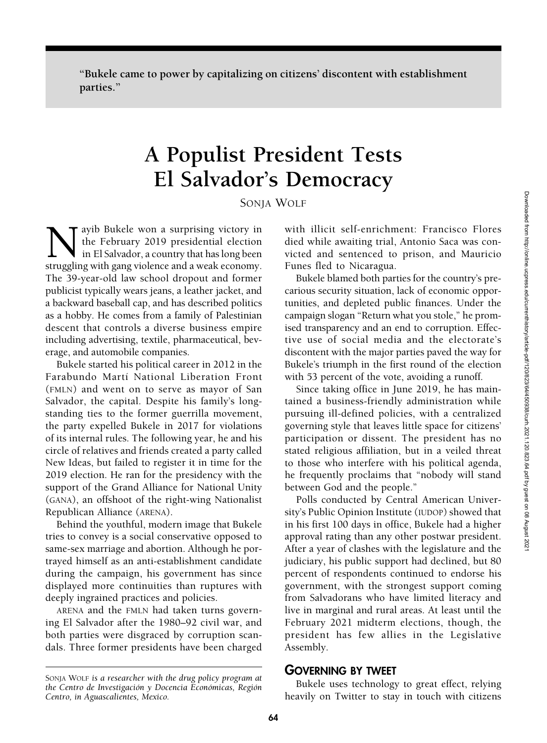"Bukele came to power by capitalizing on citizens' discontent with establishment parties."

# A Populist President Tests El Salvador's Democracy

### SONJA WOLF

Nayib Bukele won a surprising victory in the February 2019 presidential election in El Salvador, a country that has long been struggling with gang violence and a weak economy. the February 2019 presidential election in El Salvador, a country that has long been struggling with gang violence and a weak economy. The 39-year-old law school dropout and former publicist typically wears jeans, a leather jacket, and a backward baseball cap, and has described politics as a hobby. He comes from a family of Palestinian descent that controls a diverse business empire including advertising, textile, pharmaceutical, beverage, and automobile companies.

Bukele started his political career in 2012 in the Farabundo Martí National Liberation Front (FMLN) and went on to serve as mayor of San Salvador, the capital. Despite his family's longstanding ties to the former guerrilla movement, the party expelled Bukele in 2017 for violations of its internal rules. The following year, he and his circle of relatives and friends created a party called New Ideas, but failed to register it in time for the 2019 election. He ran for the presidency with the support of the Grand Alliance for National Unity (GANA), an offshoot of the right-wing Nationalist Republican Alliance (ARENA).

Behind the youthful, modern image that Bukele tries to convey is a social conservative opposed to same-sex marriage and abortion. Although he portrayed himself as an anti-establishment candidate during the campaign, his government has since displayed more continuities than ruptures with deeply ingrained practices and policies.

ARENA and the FMLN had taken turns governing El Salvador after the 1980–92 civil war, and both parties were disgraced by corruption scandals. Three former presidents have been charged

SONJA WOLF is a researcher with the drug policy program at the Centro de Investigación y Docencia Económicas, Región Centro, in Aguascalientes, Mexico.

with illicit self-enrichment: Francisco Flores died while awaiting trial, Antonio Saca was convicted and sentenced to prison, and Mauricio Funes fled to Nicaragua.

Bukele blamed both parties for the country's precarious security situation, lack of economic opportunities, and depleted public finances. Under the campaign slogan "Return what you stole," he promised transparency and an end to corruption. Effective use of social media and the electorate's discontent with the major parties paved the way for Bukele's triumph in the first round of the election with 53 percent of the vote, avoiding a runoff.

Since taking office in June 2019, he has maintained a business-friendly administration while pursuing ill-defined policies, with a centralized governing style that leaves little space for citizens' participation or dissent. The president has no stated religious affiliation, but in a veiled threat to those who interfere with his political agenda, he frequently proclaims that "nobody will stand between God and the people."

Polls conducted by Central American University's Public Opinion Institute (IUDOP) showed that in his first 100 days in office, Bukele had a higher approval rating than any other postwar president. After a year of clashes with the legislature and the judiciary, his public support had declined, but 80 percent of respondents continued to endorse his government, with the strongest support coming from Salvadorans who have limited literacy and live in marginal and rural areas. At least until the February 2021 midterm elections, though, the president has few allies in the Legislative Assembly.

#### GOVERNING BY TWEET

Bukele uses technology to great effect, relying heavily on Twitter to stay in touch with citizens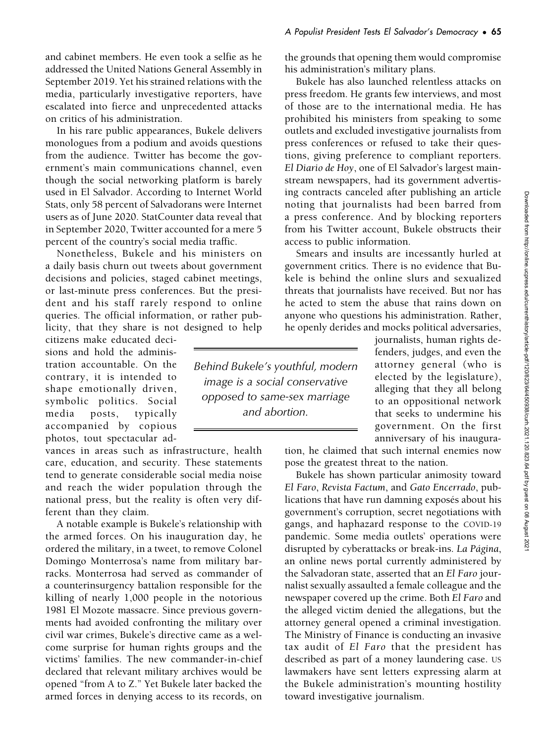In his rare public appearances, Bukele delivers monologues from a podium and avoids questions from the audience. Twitter has become the government's main communications channel, even though the social networking platform is barely used in El Salvador. According to Internet World Stats, only 58 percent of Salvadorans were Internet users as of June 2020. StatCounter data reveal that in September 2020, Twitter accounted for a mere 5 percent of the country's social media traffic.

Nonetheless, Bukele and his ministers on a daily basis churn out tweets about government decisions and policies, staged cabinet meetings, or last-minute press conferences. But the president and his staff rarely respond to online queries. The official information, or rather publicity, that they share is not designed to help

citizens make educated decisions and hold the administration accountable. On the contrary, it is intended to shape emotionally driven, symbolic politics. Social media posts, typically accompanied by copious photos, tout spectacular ad-

vances in areas such as infrastructure, health care, education, and security. These statements tend to generate considerable social media noise and reach the wider population through the national press, but the reality is often very different than they claim.

A notable example is Bukele's relationship with the armed forces. On his inauguration day, he ordered the military, in a tweet, to remove Colonel Domingo Monterrosa's name from military barracks. Monterrosa had served as commander of a counterinsurgency battalion responsible for the killing of nearly 1,000 people in the notorious 1981 El Mozote massacre. Since previous governments had avoided confronting the military over civil war crimes, Bukele's directive came as a welcome surprise for human rights groups and the victims' families. The new commander-in-chief declared that relevant military archives would be opened "from A to Z." Yet Bukele later backed the armed forces in denying access to its records, on

the grounds that opening them would compromise his administration's military plans.

Bukele has also launched relentless attacks on press freedom. He grants few interviews, and most of those are to the international media. He has prohibited his ministers from speaking to some outlets and excluded investigative journalists from press conferences or refused to take their questions, giving preference to compliant reporters. El Diario de Hoy, one of El Salvador's largest mainstream newspapers, had its government advertising contracts canceled after publishing an article noting that journalists had been barred from a press conference. And by blocking reporters from his Twitter account, Bukele obstructs their access to public information.

Smears and insults are incessantly hurled at government critics. There is no evidence that Bukele is behind the online slurs and sexualized threats that journalists have received. But nor has he acted to stem the abuse that rains down on anyone who questions his administration. Rather, he openly derides and mocks political adversaries,

Behind Bukele's youthful, modern image is a social conservative opposed to same-sex marriage and abortion.

journalists, human rights defenders, judges, and even the attorney general (who is elected by the legislature), alleging that they all belong to an oppositional network that seeks to undermine his government. On the first anniversary of his inaugura-

tion, he claimed that such internal enemies now pose the greatest threat to the nation.

Bukele has shown particular animosity toward El Faro, Revista Factum, and Gato Encerrado, publications that have run damning exposés about his government's corruption, secret negotiations with gangs, and haphazard response to the COVID-19 pandemic. Some media outlets' operations were disrupted by cyberattacks or break-ins. La Página, an online news portal currently administered by the Salvadoran state, asserted that an El Faro journalist sexually assaulted a female colleague and the newspaper covered up the crime. Both El Faro and the alleged victim denied the allegations, but the attorney general opened a criminal investigation. The Ministry of Finance is conducting an invasive tax audit of El Faro that the president has described as part of a money laundering case. US lawmakers have sent letters expressing alarm at the Bukele administration's mounting hostility toward investigative journalism.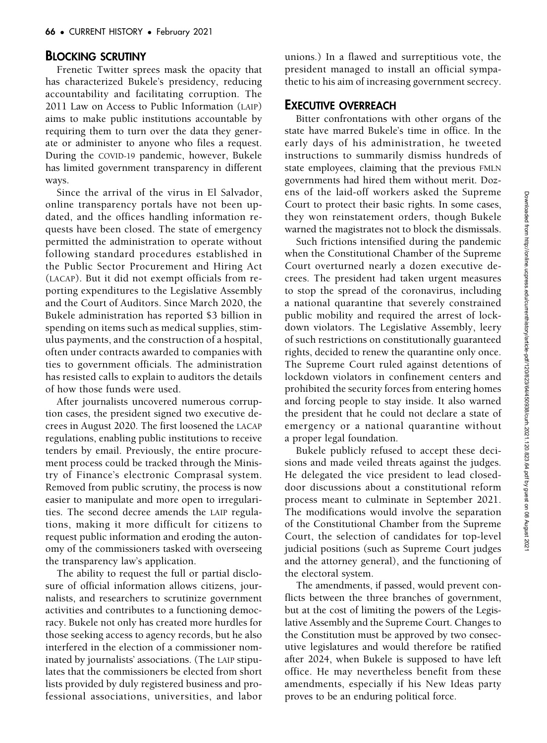# BLOCKING SCRUTINY

Frenetic Twitter sprees mask the opacity that has characterized Bukele's presidency, reducing accountability and facilitating corruption. The 2011 Law on Access to Public Information (LAIP) aims to make public institutions accountable by requiring them to turn over the data they generate or administer to anyone who files a request. During the COVID-19 pandemic, however, Bukele has limited government transparency in different ways.

Since the arrival of the virus in El Salvador, online transparency portals have not been updated, and the offices handling information requests have been closed. The state of emergency permitted the administration to operate without following standard procedures established in the Public Sector Procurement and Hiring Act (LACAP). But it did not exempt officials from reporting expenditures to the Legislative Assembly and the Court of Auditors. Since March 2020, the Bukele administration has reported \$3 billion in spending on items such as medical supplies, stimulus payments, and the construction of a hospital, often under contracts awarded to companies with ties to government officials. The administration has resisted calls to explain to auditors the details of how those funds were used.

After journalists uncovered numerous corruption cases, the president signed two executive decrees in August 2020. The first loosened the LACAP regulations, enabling public institutions to receive tenders by email. Previously, the entire procurement process could be tracked through the Ministry of Finance's electronic Comprasal system. Removed from public scrutiny, the process is now easier to manipulate and more open to irregularities. The second decree amends the LAIP regulations, making it more difficult for citizens to request public information and eroding the autonomy of the commissioners tasked with overseeing the transparency law's application.

The ability to request the full or partial disclosure of official information allows citizens, journalists, and researchers to scrutinize government activities and contributes to a functioning democracy. Bukele not only has created more hurdles for those seeking access to agency records, but he also interfered in the election of a commissioner nominated by journalists' associations. (The LAIP stipulates that the commissioners be elected from short lists provided by duly registered business and professional associations, universities, and labor

unions.) In a flawed and surreptitious vote, the president managed to install an official sympathetic to his aim of increasing government secrecy.

# EXECUTIVE OVERREACH

Bitter confrontations with other organs of the state have marred Bukele's time in office. In the early days of his administration, he tweeted instructions to summarily dismiss hundreds of state employees, claiming that the previous FMLN governments had hired them without merit. Dozens of the laid-off workers asked the Supreme Court to protect their basic rights. In some cases, they won reinstatement orders, though Bukele warned the magistrates not to block the dismissals.

Such frictions intensified during the pandemic when the Constitutional Chamber of the Supreme Court overturned nearly a dozen executive decrees. The president had taken urgent measures to stop the spread of the coronavirus, including a national quarantine that severely constrained public mobility and required the arrest of lockdown violators. The Legislative Assembly, leery of such restrictions on constitutionally guaranteed rights, decided to renew the quarantine only once. The Supreme Court ruled against detentions of lockdown violators in confinement centers and prohibited the security forces from entering homes and forcing people to stay inside. It also warned the president that he could not declare a state of emergency or a national quarantine without a proper legal foundation.

Bukele publicly refused to accept these decisions and made veiled threats against the judges. He delegated the vice president to lead closeddoor discussions about a constitutional reform process meant to culminate in September 2021. The modifications would involve the separation of the Constitutional Chamber from the Supreme Court, the selection of candidates for top-level judicial positions (such as Supreme Court judges and the attorney general), and the functioning of the electoral system.

The amendments, if passed, would prevent conflicts between the three branches of government, but at the cost of limiting the powers of the Legislative Assembly and the Supreme Court. Changes to the Constitution must be approved by two consecutive legislatures and would therefore be ratified after 2024, when Bukele is supposed to have left office. He may nevertheless benefit from these amendments, especially if his New Ideas party proves to be an enduring political force.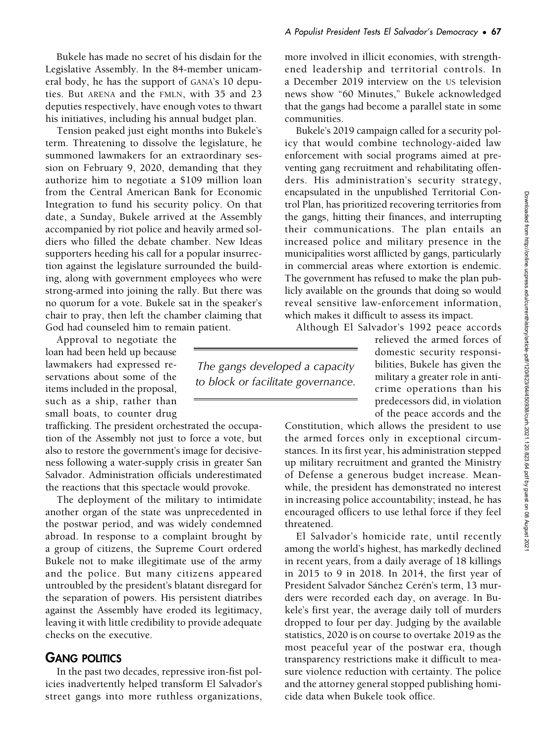Bukele has made no secret of his disdain for the Legislative Assembly. In the 84-member unicameral body, he has the support of GANA's 10 deputies. But ARENA and the FMLN, with 35 and 23 deputies respectively, have enough votes to thwart his initiatives, including his annual budget plan.

Tension peaked just eight months into Bukele's term. Threatening to dissolve the legislature, he summoned lawmakers for an extraordinary session on February 9, 2020, demanding that they authorize him to negotiate a \$109 million loan from the Central American Bank for Economic Integration to fund his security policy. On that date, a Sunday, Bukele arrived at the Assembly accompanied by riot police and heavily armed soldiers who filled the debate chamber. New Ideas supporters heeding his call for a popular insurrection against the legislature surrounded the building, along with government employees who were strong-armed into joining the rally. But there was no quorum for a vote. Bukele sat in the speaker's chair to pray, then left the chamber claiming that God had counseled him to remain patient.

Approval to negotiate the loan had been held up because lawmakers had expressed reservations about some of the items included in the proposal, such as a ship, rather than small boats, to counter drug

trafficking. The president orchestrated the occupation of the Assembly not just to force a vote, but also to restore the government's image for decisiveness following a water-supply crisis in greater San Salvador. Administration officials underestimated the reactions that this spectacle would provoke.

The deployment of the military to intimidate another organ of the state was unprecedented in the postwar period, and was widely condemned abroad. In response to a complaint brought by a group of citizens, the Supreme Court ordered Bukele not to make illegitimate use of the army and the police. But many citizens appeared untroubled by the president's blatant disregard for the separation of powers. His persistent diatribes against the Assembly have eroded its legitimacy, leaving it with little credibility to provide adequate checks on the executive.

### GANG POLITICS

In the past two decades, repressive iron-fist policies inadvertently helped transform El Salvador's street gangs into more ruthless organizations, more involved in illicit economies, with strengthened leadership and territorial controls. In a December 2019 interview on the US television news show "60 Minutes," Bukele acknowledged that the gangs had become a parallel state in some communities.

Bukele's 2019 campaign called for a security policy that would combine technology-aided law enforcement with social programs aimed at preventing gang recruitment and rehabilitating offenders. His administration's security strategy, encapsulated in the unpublished Territorial Control Plan, has prioritized recovering territories from the gangs, hitting their finances, and interrupting their communications. The plan entails an increased police and military presence in the municipalities worst afflicted by gangs, particularly in commercial areas where extortion is endemic. The government has refused to make the plan publicly available on the grounds that doing so would reveal sensitive law-enforcement information, which makes it difficult to assess its impact.

Although El Salvador's 1992 peace accords

The gangs developed a capacity to block or facilitate governance.

relieved the armed forces of domestic security responsibilities, Bukele has given the military a greater role in anticrime operations than his predecessors did, in violation of the peace accords and the

Constitution, which allows the president to use the armed forces only in exceptional circumstances. In its first year, his administration stepped up military recruitment and granted the Ministry of Defense a generous budget increase. Meanwhile, the president has demonstrated no interest in increasing police accountability; instead, he has encouraged officers to use lethal force if they feel threatened.

El Salvador's homicide rate, until recently among the world's highest, has markedly declined in recent years, from a daily average of 18 killings in 2015 to 9 in 2018. In 2014, the first year of President Salvador Sánchez Cerén's term, 13 murders were recorded each day, on average. In Bukele's first year, the average daily toll of murders dropped to four per day. Judging by the available statistics, 2020 is on course to overtake 2019 as the most peaceful year of the postwar era, though transparency restrictions make it difficult to measure violence reduction with certainty. The police and the attorney general stopped publishing homicide data when Bukele took office.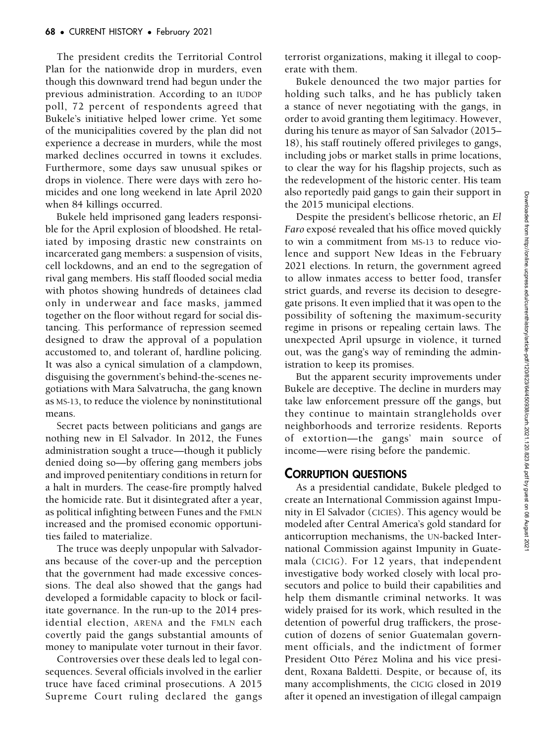The president credits the Territorial Control Plan for the nationwide drop in murders, even though this downward trend had begun under the previous administration. According to an IUDOP poll, 72 percent of respondents agreed that Bukele's initiative helped lower crime. Yet some of the municipalities covered by the plan did not experience a decrease in murders, while the most marked declines occurred in towns it excludes. Furthermore, some days saw unusual spikes or drops in violence. There were days with zero homicides and one long weekend in late April 2020 when 84 killings occurred.

Bukele held imprisoned gang leaders responsible for the April explosion of bloodshed. He retaliated by imposing drastic new constraints on incarcerated gang members: a suspension of visits, cell lockdowns, and an end to the segregation of rival gang members. His staff flooded social media with photos showing hundreds of detainees clad only in underwear and face masks, jammed together on the floor without regard for social distancing. This performance of repression seemed designed to draw the approval of a population accustomed to, and tolerant of, hardline policing. It was also a cynical simulation of a clampdown, disguising the government's behind-the-scenes negotiations with Mara Salvatrucha, the gang known as MS-13, to reduce the violence by noninstitutional means.

Secret pacts between politicians and gangs are nothing new in El Salvador. In 2012, the Funes administration sought a truce—though it publicly denied doing so—by offering gang members jobs and improved penitentiary conditions in return for a halt in murders. The cease-fire promptly halved the homicide rate. But it disintegrated after a year, as political infighting between Funes and the FMLN increased and the promised economic opportunities failed to materialize.

The truce was deeply unpopular with Salvadorans because of the cover-up and the perception that the government had made excessive concessions. The deal also showed that the gangs had developed a formidable capacity to block or facilitate governance. In the run-up to the 2014 presidential election, ARENA and the FMLN each covertly paid the gangs substantial amounts of money to manipulate voter turnout in their favor.

Controversies over these deals led to legal consequences. Several officials involved in the earlier truce have faced criminal prosecutions. A 2015 Supreme Court ruling declared the gangs terrorist organizations, making it illegal to cooperate with them.

Bukele denounced the two major parties for holding such talks, and he has publicly taken a stance of never negotiating with the gangs, in order to avoid granting them legitimacy. However, during his tenure as mayor of San Salvador (2015– 18), his staff routinely offered privileges to gangs, including jobs or market stalls in prime locations, to clear the way for his flagship projects, such as the redevelopment of the historic center. His team also reportedly paid gangs to gain their support in the 2015 municipal elections.

Despite the president's bellicose rhetoric, an El Faro exposé revealed that his office moved quickly to win a commitment from MS-13 to reduce violence and support New Ideas in the February 2021 elections. In return, the government agreed to allow inmates access to better food, transfer strict guards, and reverse its decision to desegregate prisons. It even implied that it was open to the possibility of softening the maximum-security regime in prisons or repealing certain laws. The unexpected April upsurge in violence, it turned out, was the gang's way of reminding the administration to keep its promises.

But the apparent security improvements under Bukele are deceptive. The decline in murders may take law enforcement pressure off the gangs, but they continue to maintain strangleholds over neighborhoods and terrorize residents. Reports of extortion—the gangs' main source of income—were rising before the pandemic.

### CORRUPTION QUESTIONS

As a presidential candidate, Bukele pledged to create an International Commission against Impunity in El Salvador (CICIES). This agency would be modeled after Central America's gold standard for anticorruption mechanisms, the UN-backed International Commission against Impunity in Guatemala (CICIG). For 12 years, that independent investigative body worked closely with local prosecutors and police to build their capabilities and help them dismantle criminal networks. It was widely praised for its work, which resulted in the detention of powerful drug traffickers, the prosecution of dozens of senior Guatemalan government officials, and the indictment of former President Otto Pérez Molina and his vice president, Roxana Baldetti. Despite, or because of, its many accomplishments, the CICIG closed in 2019 after it opened an investigation of illegal campaign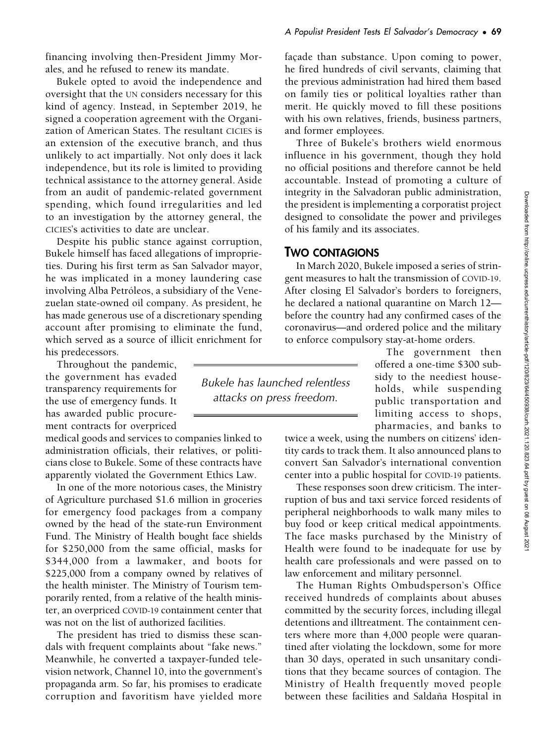financing involving then-President Jimmy Morales, and he refused to renew its mandate.

Bukele opted to avoid the independence and oversight that the UN considers necessary for this kind of agency. Instead, in September 2019, he signed a cooperation agreement with the Organization of American States. The resultant CICIES is an extension of the executive branch, and thus unlikely to act impartially. Not only does it lack independence, but its role is limited to providing technical assistance to the attorney general. Aside from an audit of pandemic-related government spending, which found irregularities and led to an investigation by the attorney general, the CICIES's activities to date are unclear.

Despite his public stance against corruption, Bukele himself has faced allegations of improprieties. During his first term as San Salvador mayor, he was implicated in a money laundering case involving Alba Petróleos, a subsidiary of the Venezuelan state-owned oil company. As president, he has made generous use of a discretionary spending account after promising to eliminate the fund, which served as a source of illicit enrichment for his predecessors.

Throughout the pandemic, the government has evaded transparency requirements for the use of emergency funds. It has awarded public procurement contracts for overpriced

medical goods and services to companies linked to administration officials, their relatives, or politicians close to Bukele. Some of these contracts have apparently violated the Government Ethics Law.

In one of the more notorious cases, the Ministry of Agriculture purchased \$1.6 million in groceries for emergency food packages from a company owned by the head of the state-run Environment Fund. The Ministry of Health bought face shields for \$250,000 from the same official, masks for \$344,000 from a lawmaker, and boots for \$225,000 from a company owned by relatives of the health minister. The Ministry of Tourism temporarily rented, from a relative of the health minister, an overpriced COVID-19 containment center that was not on the list of authorized facilities.

The president has tried to dismiss these scandals with frequent complaints about "fake news." Meanwhile, he converted a taxpayer-funded television network, Channel 10, into the government's propaganda arm. So far, his promises to eradicate corruption and favoritism have yielded more façade than substance. Upon coming to power, he fired hundreds of civil servants, claiming that the previous administration had hired them based on family ties or political loyalties rather than merit. He quickly moved to fill these positions with his own relatives, friends, business partners, and former employees.

Three of Bukele's brothers wield enormous influence in his government, though they hold no official positions and therefore cannot be held accountable. Instead of promoting a culture of integrity in the Salvadoran public administration, the president is implementing a corporatist project designed to consolidate the power and privileges of his family and its associates.

# TWO CONTAGIONS

In March 2020, Bukele imposed a series of stringent measures to halt the transmission of COVID-19. After closing El Salvador's borders to foreigners, he declared a national quarantine on March 12 before the country had any confirmed cases of the coronavirus—and ordered police and the military to enforce compulsory stay-at-home orders.

Bukele has launched relentless attacks on press freedom.

The government then offered a one-time \$300 subsidy to the neediest households, while suspending public transportation and limiting access to shops, pharmacies, and banks to

twice a week, using the numbers on citizens' identity cards to track them. It also announced plans to convert San Salvador's international convention center into a public hospital for COVID-19 patients.

These responses soon drew criticism. The interruption of bus and taxi service forced residents of peripheral neighborhoods to walk many miles to buy food or keep critical medical appointments. The face masks purchased by the Ministry of Health were found to be inadequate for use by health care professionals and were passed on to law enforcement and military personnel.

The Human Rights Ombudsperson's Office received hundreds of complaints about abuses committed by the security forces, including illegal detentions and illtreatment. The containment centers where more than 4,000 people were quarantined after violating the lockdown, some for more than 30 days, operated in such unsanitary conditions that they became sources of contagion. The Ministry of Health frequently moved people between these facilities and Saldaña Hospital in